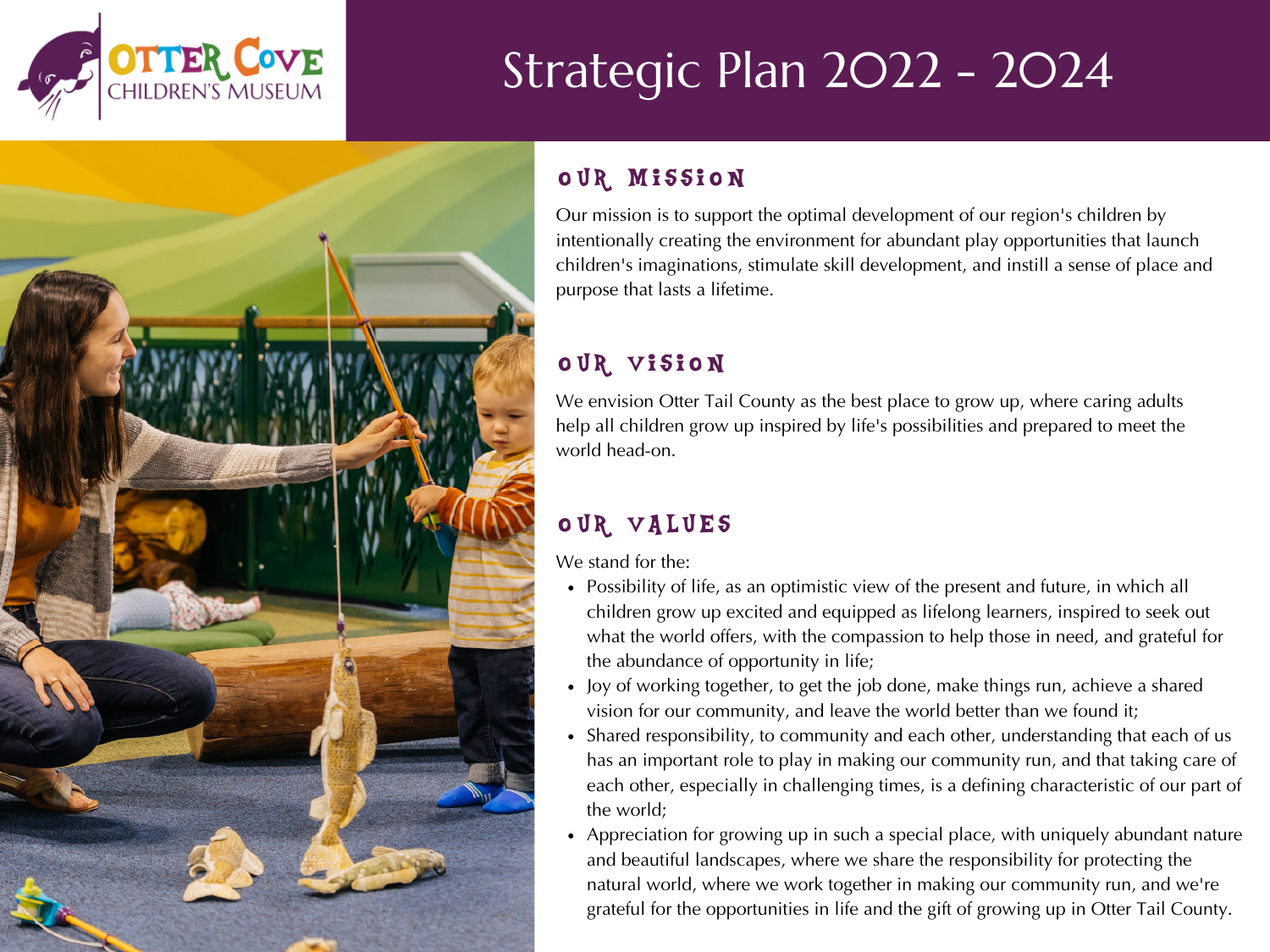

# Strategic Plan 2022 - 2024

# o UR MISSION

Our mission is to support the optimal development of our region's children by intentionally creating the environment for abundant play opportunities that launch children's imaginations, stimulate skill development, and instill a sense of place and purpose that lasts a lifetime.

# o UR VISION

We envision Otter Tail County as the best place to grow up, where caring adults help all children grow up inspired by life's possibilities and prepared to meet the world head-on.

# OUR VALUES

We stand for the:

- Possibility of life, as an optimistic view of the present and future, in which all children grow up excited and equipped as lifelong learners, inspired to seek out what the world offers, with the compassion to help those in need, and grateful for the abundance of opportunity in life;
- Joy of working together, to get the job done, make things run, achieve a shared vision for our community, and leave the world better than we found it;
- Shared responsibility, to community and each other, understanding that each of us has an important role to play in making our community run, and that taking care of each other, especially in challenging times, is a defining characteristic of our part of the world;
- Appreciation for growing up in such a special place, with uniquely abundant nature and beautiful landscapes, where we share the responsibility for protecting the natural world, where we work together in making our community run, and we're grateful for the opportunities in life and the gift of growing up in Otter Tail County.